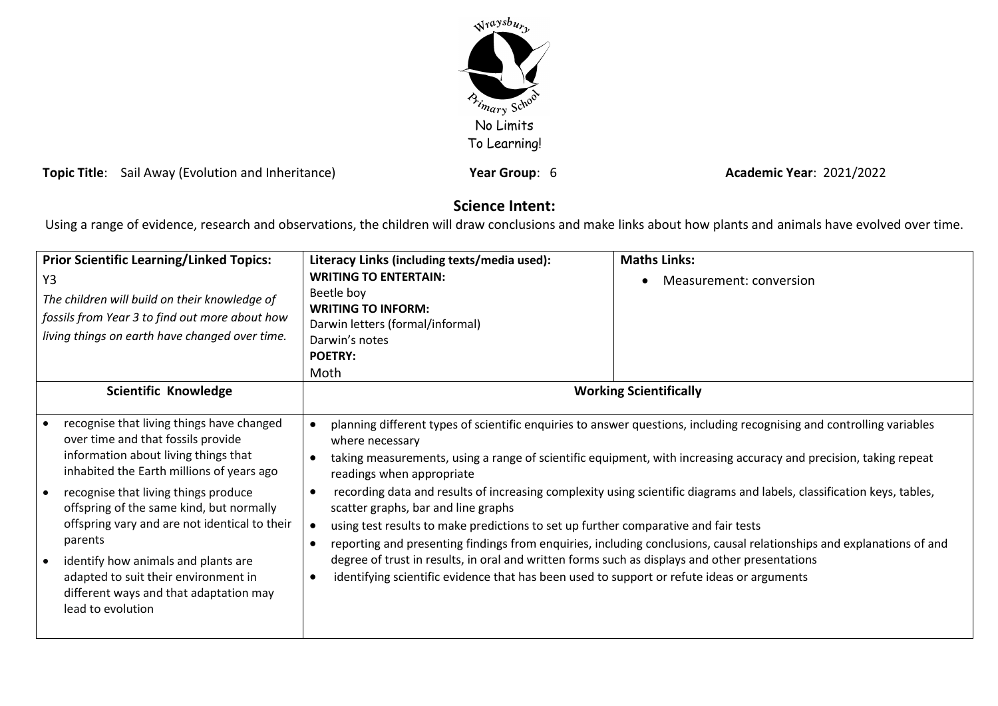

**Topic Title**: Sail Away (Evolution and Inheritance) **Year Group**: 6 **Academic Year**: 2021/2022

# **Science Intent:**

Using a range of evidence, research and observations, the children will draw conclusions and make links about how plants and animals have evolved over time.

| <b>Prior Scientific Learning/Linked Topics:</b><br>Y3<br>The children will build on their knowledge of<br>fossils from Year 3 to find out more about how<br>living things on earth have changed over time.                                                                                                                                                                                                                                                         | Literacy Links (including texts/media used):<br><b>WRITING TO ENTERTAIN:</b><br>Beetle boy<br><b>WRITING TO INFORM:</b><br>Darwin letters (formal/informal)<br>Darwin's notes<br><b>POETRY:</b><br>Moth                                                                                                                                                                                                                                                                                                                                                                                                                                                                                                                                                                                                                                                                                                                         | <b>Maths Links:</b><br>Measurement: conversion |
|--------------------------------------------------------------------------------------------------------------------------------------------------------------------------------------------------------------------------------------------------------------------------------------------------------------------------------------------------------------------------------------------------------------------------------------------------------------------|---------------------------------------------------------------------------------------------------------------------------------------------------------------------------------------------------------------------------------------------------------------------------------------------------------------------------------------------------------------------------------------------------------------------------------------------------------------------------------------------------------------------------------------------------------------------------------------------------------------------------------------------------------------------------------------------------------------------------------------------------------------------------------------------------------------------------------------------------------------------------------------------------------------------------------|------------------------------------------------|
| Scientific Knowledge                                                                                                                                                                                                                                                                                                                                                                                                                                               | <b>Working Scientifically</b>                                                                                                                                                                                                                                                                                                                                                                                                                                                                                                                                                                                                                                                                                                                                                                                                                                                                                                   |                                                |
| recognise that living things have changed<br>over time and that fossils provide<br>information about living things that<br>inhabited the Earth millions of years ago<br>recognise that living things produce<br>offspring of the same kind, but normally<br>offspring vary and are not identical to their<br>parents<br>identify how animals and plants are<br>adapted to suit their environment in<br>different ways and that adaptation may<br>lead to evolution | planning different types of scientific enquiries to answer questions, including recognising and controlling variables<br>where necessary<br>taking measurements, using a range of scientific equipment, with increasing accuracy and precision, taking repeat<br>readings when appropriate<br>recording data and results of increasing complexity using scientific diagrams and labels, classification keys, tables,<br>$\bullet$<br>scatter graphs, bar and line graphs<br>using test results to make predictions to set up further comparative and fair tests<br>$\bullet$<br>reporting and presenting findings from enquiries, including conclusions, causal relationships and explanations of and<br>$\bullet$<br>degree of trust in results, in oral and written forms such as displays and other presentations<br>identifying scientific evidence that has been used to support or refute ideas or arguments<br>$\bullet$ |                                                |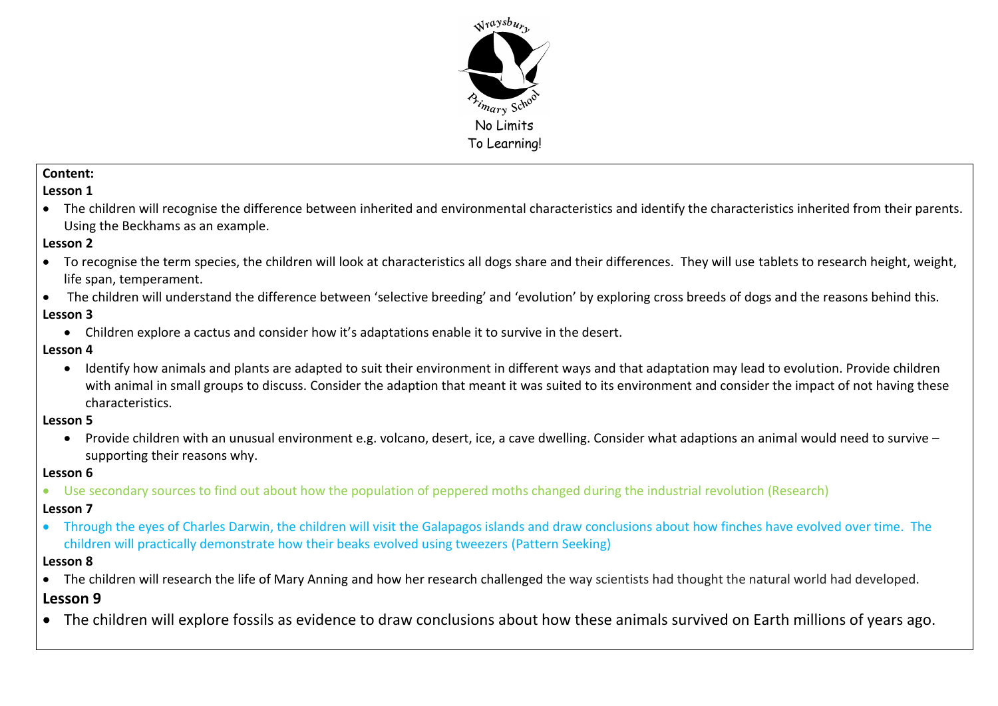

## **Content:**

# **Lesson 1**

 The children will recognise the difference between inherited and environmental characteristics and identify the characteristics inherited from their parents. Using the Beckhams as an example.

## **Lesson 2**

- To recognise the term species, the children will look at characteristics all dogs share and their differences. They will use tablets to research height, weight, life span, temperament.
- The children will understand the difference between 'selective breeding' and 'evolution' by exploring cross breeds of dogs and the reasons behind this. **Lesson 3**
	- Children explore a cactus and consider how it's adaptations enable it to survive in the desert.

# **Lesson 4**

 Identify how animals and plants are adapted to suit their environment in different ways and that adaptation may lead to evolution. Provide children with animal in small groups to discuss. Consider the adaption that meant it was suited to its environment and consider the impact of not having these characteristics.

## **Lesson 5**

 Provide children with an unusual environment e.g. volcano, desert, ice, a cave dwelling. Consider what adaptions an animal would need to survive – supporting their reasons why.

# **Lesson 6**

Use secondary sources to find out about how the population of peppered moths changed during the industrial revolution (Research)

# **Lesson 7**

 Through the eyes of Charles Darwin, the children will visit the Galapagos islands and draw conclusions about how finches have evolved over time. The children will practically demonstrate how their beaks evolved using tweezers (Pattern Seeking)

## **Lesson 8**

- The children will research the life of Mary Anning and how her research challenged the way scientists had thought the natural world had developed. **Lesson 9**
- The children will explore fossils as evidence to draw conclusions about how these animals survived on Earth millions of years ago.